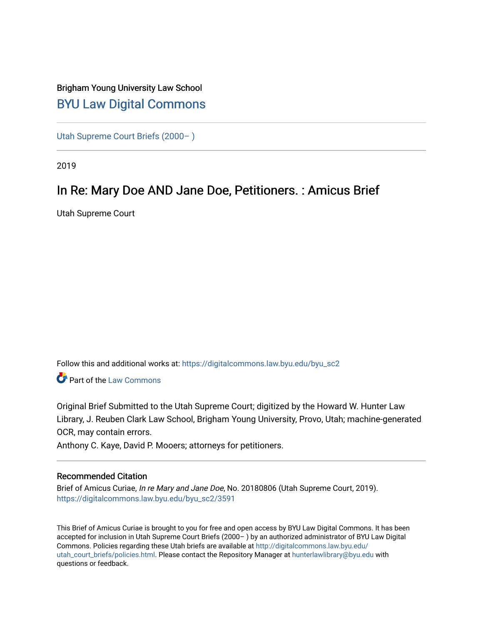## Brigham Young University Law School [BYU Law Digital Commons](https://digitalcommons.law.byu.edu/)

[Utah Supreme Court Briefs \(2000– \)](https://digitalcommons.law.byu.edu/byu_sc2)

2019

## In Re: Mary Doe AND Jane Doe, Petitioners. : Amicus Brief

Utah Supreme Court

Follow this and additional works at: [https://digitalcommons.law.byu.edu/byu\\_sc2](https://digitalcommons.law.byu.edu/byu_sc2?utm_source=digitalcommons.law.byu.edu%2Fbyu_sc2%2F3591&utm_medium=PDF&utm_campaign=PDFCoverPages) 

Part of the [Law Commons](https://network.bepress.com/hgg/discipline/578?utm_source=digitalcommons.law.byu.edu%2Fbyu_sc2%2F3591&utm_medium=PDF&utm_campaign=PDFCoverPages)

Original Brief Submitted to the Utah Supreme Court; digitized by the Howard W. Hunter Law Library, J. Reuben Clark Law School, Brigham Young University, Provo, Utah; machine-generated OCR, may contain errors.

Anthony C. Kaye, David P. Mooers; attorneys for petitioners.

#### Recommended Citation

Brief of Amicus Curiae, In re Mary and Jane Doe, No. 20180806 (Utah Supreme Court, 2019). [https://digitalcommons.law.byu.edu/byu\\_sc2/3591](https://digitalcommons.law.byu.edu/byu_sc2/3591?utm_source=digitalcommons.law.byu.edu%2Fbyu_sc2%2F3591&utm_medium=PDF&utm_campaign=PDFCoverPages)

This Brief of Amicus Curiae is brought to you for free and open access by BYU Law Digital Commons. It has been accepted for inclusion in Utah Supreme Court Briefs (2000– ) by an authorized administrator of BYU Law Digital Commons. Policies regarding these Utah briefs are available at [http://digitalcommons.law.byu.edu/](http://digitalcommons.law.byu.edu/utah_court_briefs/policies.html) [utah\\_court\\_briefs/policies.html.](http://digitalcommons.law.byu.edu/utah_court_briefs/policies.html) Please contact the Repository Manager at hunterlawlibrary@byu.edu with questions or feedback.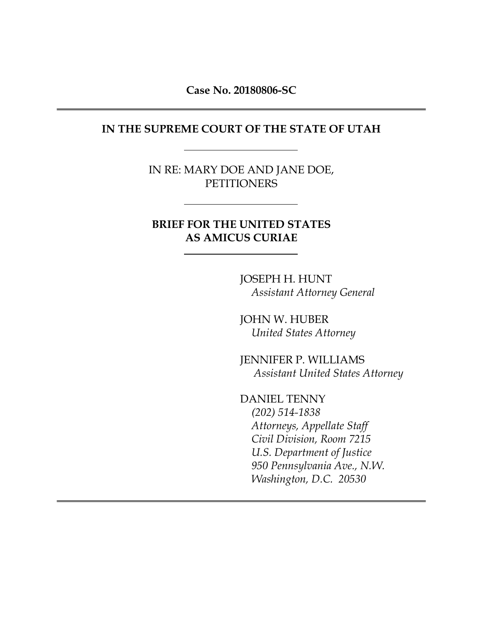**Case No. 20180806-SC** 

#### **IN THE SUPREME COURT OF THE STATE OF UTAH**

IN RE: MARY DOE AND JANE DOE, **PETITIONERS** 

### **BRIEF FOR THE UNITED STATES AS AMICUS CURIAE**

JOSEPH H. HUNT *Assistant Attorney General* 

JOHN W. HUBER *United States Attorney* 

JENNIFER P. WILLIAMS *Assistant United States Attorney* 

DANIEL TENNY *(202) 514-1838 Attorneys, Appellate Staff Civil Division, Room 7215 U.S. Department of Justice 950 Pennsylvania Ave., N.W. Washington, D.C. 20530*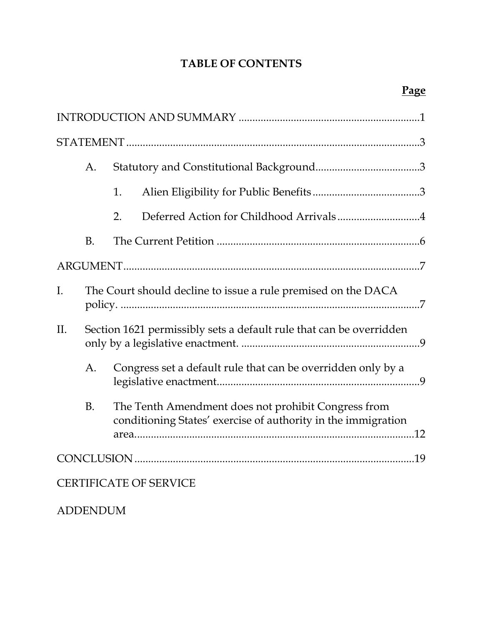## **TABLE OF CONTENTS**

|                | A.              |                                                                                                                      |  |
|----------------|-----------------|----------------------------------------------------------------------------------------------------------------------|--|
|                |                 | 1.                                                                                                                   |  |
|                |                 | Deferred Action for Childhood Arrivals4<br>2.                                                                        |  |
|                | <b>B.</b>       |                                                                                                                      |  |
|                |                 |                                                                                                                      |  |
| $\mathbf{I}$ . |                 | The Court should decline to issue a rule premised on the DACA                                                        |  |
| II.            |                 | Section 1621 permissibly sets a default rule that can be overridden                                                  |  |
|                | A.              | Congress set a default rule that can be overridden only by a                                                         |  |
|                | <b>B.</b>       | The Tenth Amendment does not prohibit Congress from<br>conditioning States' exercise of authority in the immigration |  |
|                |                 |                                                                                                                      |  |
|                |                 | <b>CERTIFICATE OF SERVICE</b>                                                                                        |  |
|                | <b>ADDENDUM</b> |                                                                                                                      |  |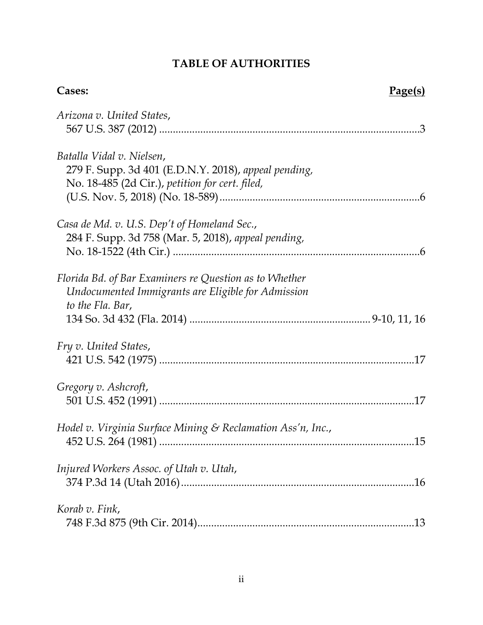# **TABLE OF AUTHORITIES**

| Cases:                                                      | <u>Page(s)</u> |
|-------------------------------------------------------------|----------------|
| Arizona v. United States,                                   |                |
|                                                             |                |
| Batalla Vidal v. Nielsen,                                   |                |
| 279 F. Supp. 3d 401 (E.D.N.Y. 2018), appeal pending,        |                |
| No. 18-485 (2d Cir.), petition for cert. filed,             |                |
|                                                             |                |
| Casa de Md. v. U.S. Dep't of Homeland Sec.,                 |                |
| 284 F. Supp. 3d 758 (Mar. 5, 2018), appeal pending,         |                |
|                                                             |                |
| Florida Bd. of Bar Examiners re Question as to Whether      |                |
| Undocumented Immigrants are Eligible for Admission          |                |
| to the Fla. Bar,                                            |                |
|                                                             |                |
| Fry v. United States,                                       |                |
|                                                             |                |
| Gregory v. Ashcroft,                                        |                |
|                                                             |                |
| Hodel v. Virginia Surface Mining & Reclamation Ass'n, Inc., |                |
|                                                             |                |
| Injured Workers Assoc. of Utah v. Utah,                     |                |
|                                                             |                |
|                                                             |                |
| Korab v. Fink,                                              |                |
|                                                             |                |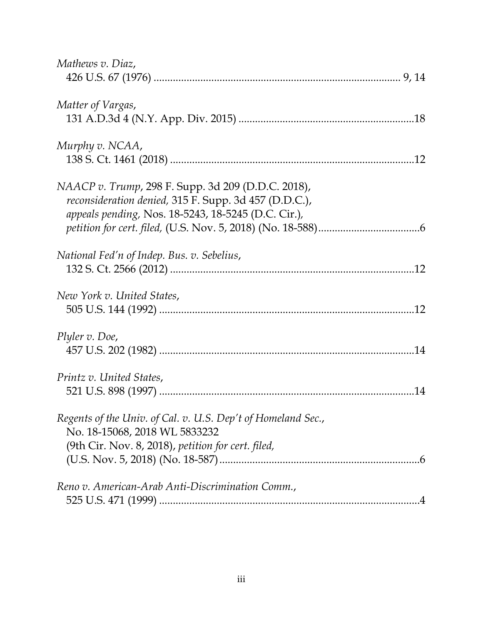| Mathews v. Diaz,                                                                                                                                                   |  |
|--------------------------------------------------------------------------------------------------------------------------------------------------------------------|--|
| Matter of Vargas,                                                                                                                                                  |  |
| Murphy v. NCAA,                                                                                                                                                    |  |
| NAACP v. Trump, 298 F. Supp. 3d 209 (D.D.C. 2018),<br>reconsideration denied, 315 F. Supp. 3d 457 (D.D.C.),<br>appeals pending, Nos. 18-5243, 18-5245 (D.C. Cir.), |  |
|                                                                                                                                                                    |  |
| National Fed'n of Indep. Bus. v. Sebelius,                                                                                                                         |  |
| New York v. United States,                                                                                                                                         |  |
| Plyler v. Doe,                                                                                                                                                     |  |
| Printz v. United States,                                                                                                                                           |  |
| Regents of the Univ. of Cal. v. U.S. Dep't of Homeland Sec.,<br>No. 18-15068, 2018 WL 5833232<br>(9th Cir. Nov. 8, 2018), petition for cert. filed,                |  |
|                                                                                                                                                                    |  |
| Reno v. American-Arab Anti-Discrimination Comm.,                                                                                                                   |  |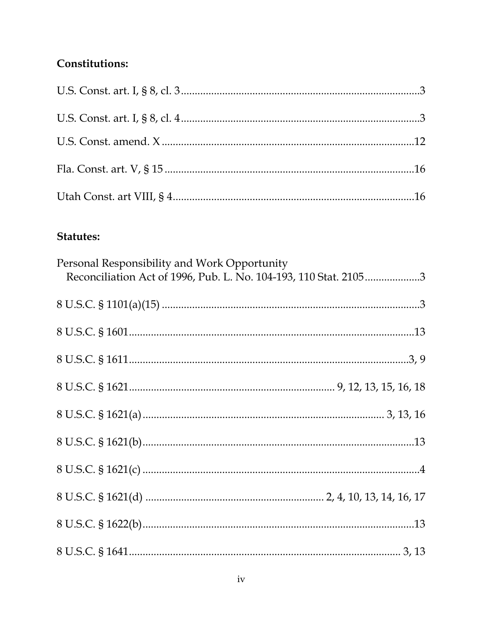## Constitutions:

## **Statutes:**

| Personal Responsibility and Work Opportunity<br>Reconciliation Act of 1996, Pub. L. No. 104-193, 110 Stat. 21053 |
|------------------------------------------------------------------------------------------------------------------|
|                                                                                                                  |
|                                                                                                                  |
|                                                                                                                  |
|                                                                                                                  |
|                                                                                                                  |
|                                                                                                                  |
|                                                                                                                  |
|                                                                                                                  |
|                                                                                                                  |
|                                                                                                                  |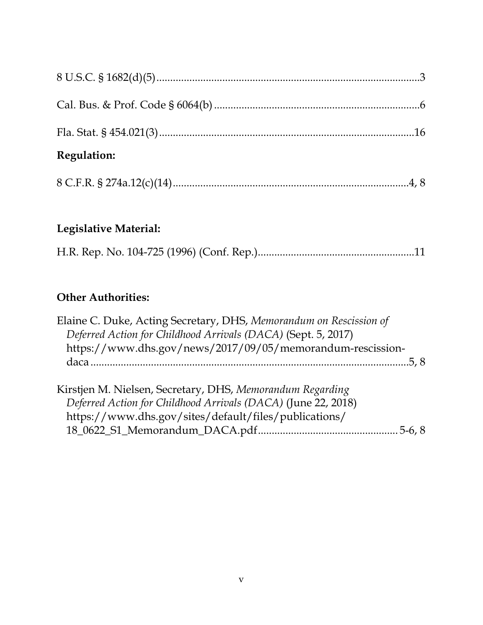| <b>Regulation:</b> |  |
|--------------------|--|
|                    |  |
|                    |  |
|                    |  |

# **Legislative Material:**

|--|--|--|--|

## **Other Authorities:**

| Elaine C. Duke, Acting Secretary, DHS, Memorandum on Rescission of |  |
|--------------------------------------------------------------------|--|
| Deferred Action for Childhood Arrivals (DACA) (Sept. 5, 2017)      |  |
| https://www.dhs.gov/news/2017/09/05/memorandum-rescission-         |  |
|                                                                    |  |
|                                                                    |  |
| Kirstjen M. Nielsen, Secretary, DHS, Memorandum Regarding          |  |
| Deferred Action for Childhood Arrivals (DACA) (June 22, 2018)      |  |
| https://www.dhs.gov/sites/default/files/publications/              |  |
|                                                                    |  |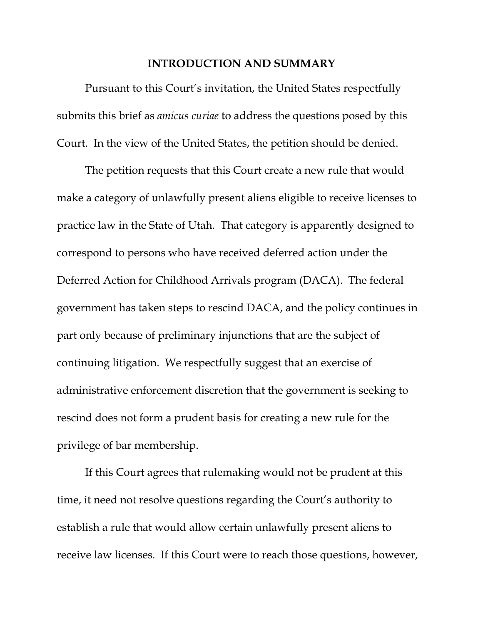#### **INTRODUCTION AND SUMMARY**

Pursuant to this Court's invitation, the United States respectfully submits this brief as *amicus curiae* to address the questions posed by this Court. In the view of the United States, the petition should be denied.

The petition requests that this Court create a new rule that would make a category of unlawfully present aliens eligible to receive licenses to practice law in the State of Utah. That category is apparently designed to correspond to persons who have received deferred action under the Deferred Action for Childhood Arrivals program (DACA). The federal government has taken steps to rescind DACA, and the policy continues in part only because of preliminary injunctions that are the subject of continuing litigation. We respectfully suggest that an exercise of administrative enforcement discretion that the government is seeking to rescind does not form a prudent basis for creating a new rule for the privilege of bar membership.

If this Court agrees that rulemaking would not be prudent at this time, it need not resolve questions regarding the Court's authority to establish a rule that would allow certain unlawfully present aliens to receive law licenses. If this Court were to reach those questions, however,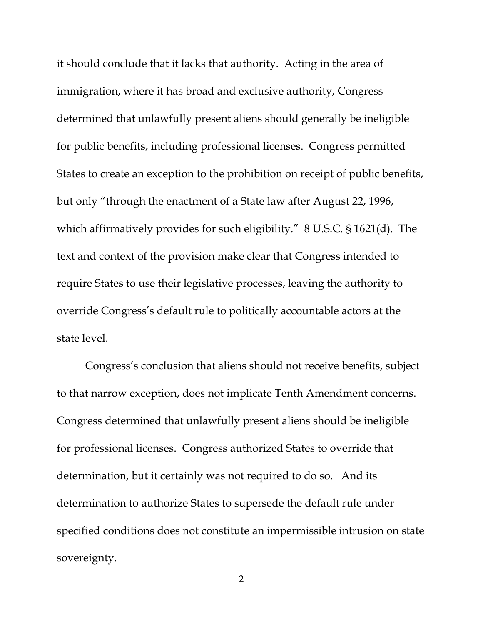it should conclude that it lacks that authority. Acting in the area of immigration, where it has broad and exclusive authority, Congress determined that unlawfully present aliens should generally be ineligible for public benefits, including professional licenses. Congress permitted States to create an exception to the prohibition on receipt of public benefits, but only "through the enactment of a State law after August 22, 1996, which affirmatively provides for such eligibility." 8 U.S.C. § 1621(d). The text and context of the provision make clear that Congress intended to require States to use their legislative processes, leaving the authority to override Congress's default rule to politically accountable actors at the state level.

Congress's conclusion that aliens should not receive benefits, subject to that narrow exception, does not implicate Tenth Amendment concerns. Congress determined that unlawfully present aliens should be ineligible for professional licenses. Congress authorized States to override that determination, but it certainly was not required to do so. And its determination to authorize States to supersede the default rule under specified conditions does not constitute an impermissible intrusion on state sovereignty.

2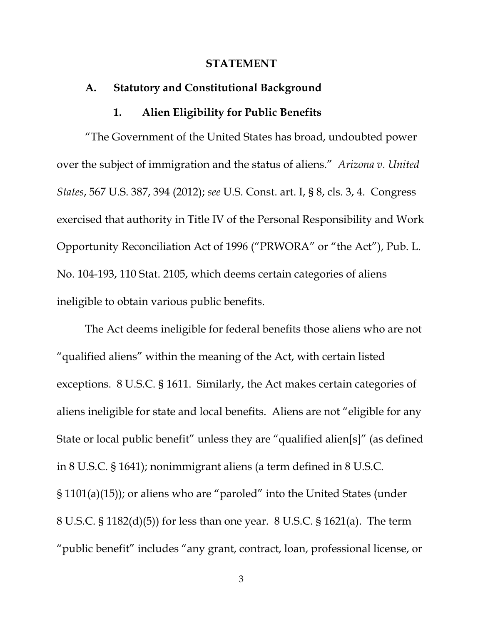#### **STATEMENT**

### **A. Statutory and Constitutional Background**

#### **1. Alien Eligibility for Public Benefits**

"The Government of the United States has broad, undoubted power over the subject of immigration and the status of aliens." *Arizona v. United States*, 567 U.S. 387, 394 (2012); *see* U.S. Const. art. I, § 8, cls. 3, 4. Congress exercised that authority in Title IV of the Personal Responsibility and Work Opportunity Reconciliation Act of 1996 ("PRWORA" or "the Act"), Pub. L. No. 104-193, 110 Stat. 2105, which deems certain categories of aliens ineligible to obtain various public benefits.

The Act deems ineligible for federal benefits those aliens who are not "qualified aliens" within the meaning of the Act, with certain listed exceptions. 8 U.S.C. § 1611. Similarly, the Act makes certain categories of aliens ineligible for state and local benefits. Aliens are not "eligible for any State or local public benefit" unless they are "qualified alien[s]" (as defined in 8 U.S.C. § 1641); nonimmigrant aliens (a term defined in 8 U.S.C. § 1101(a)(15)); or aliens who are "paroled" into the United States (under 8 U.S.C. § 1182(d)(5)) for less than one year. 8 U.S.C. § 1621(a). The term "public benefit" includes "any grant, contract, loan, professional license, or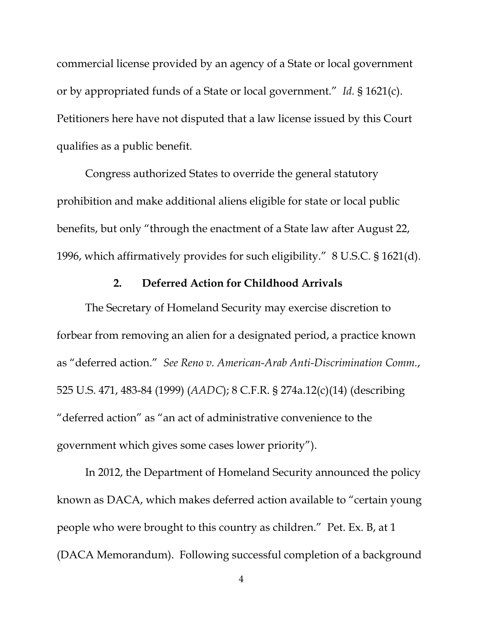commercial license provided by an agency of a State or local government or by appropriated funds of a State or local government." *Id.* § 1621(c). Petitioners here have not disputed that a law license issued by this Court qualifies as a public benefit.

Congress authorized States to override the general statutory prohibition and make additional aliens eligible for state or local public benefits, but only "through the enactment of a State law after August 22, 1996, which affirmatively provides for such eligibility." 8 U.S.C. § 1621(d).

### **2. Deferred Action for Childhood Arrivals**

The Secretary of Homeland Security may exercise discretion to forbear from removing an alien for a designated period, a practice known as "deferred action." *See Reno v. American-Arab Anti-Discrimination Comm.*, 525 U.S. 471, 483-84 (1999) (*AADC*); 8 C.F.R. § 274a.12(c)(14) (describing "deferred action" as "an act of administrative convenience to the government which gives some cases lower priority").

In 2012, the Department of Homeland Security announced the policy known as DACA, which makes deferred action available to "certain young people who were brought to this country as children." Pet. Ex. B, at 1 (DACA Memorandum). Following successful completion of a background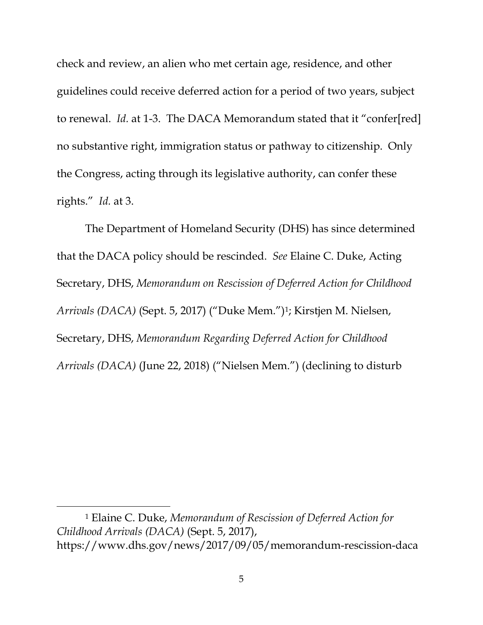check and review, an alien who met certain age, residence, and other guidelines could receive deferred action for a period of two years, subject to renewal. *Id.* at 1-3. The DACA Memorandum stated that it "confer[red] no substantive right, immigration status or pathway to citizenship. Only the Congress, acting through its legislative authority, can confer these rights." *Id.* at 3.

The Department of Homeland Security (DHS) has since determined that the DACA policy should be rescinded. *See* Elaine C. Duke, Acting Secretary, DHS, *Memorandum on Rescission of Deferred Action for Childhood Arrivals (DACA)* (Sept. 5, 2017) ("Duke Mem.")1; Kirstjen M. Nielsen, Secretary, DHS, *Memorandum Regarding Deferred Action for Childhood Arrivals (DACA)* (June 22, 2018) ("Nielsen Mem.") (declining to disturb

 $\overline{a}$ 

<sup>1</sup> Elaine C. Duke, *Memorandum of Rescission of Deferred Action for Childhood Arrivals (DACA)* (Sept. 5, 2017), https://www.dhs.gov/news/2017/09/05/memorandum-rescission-daca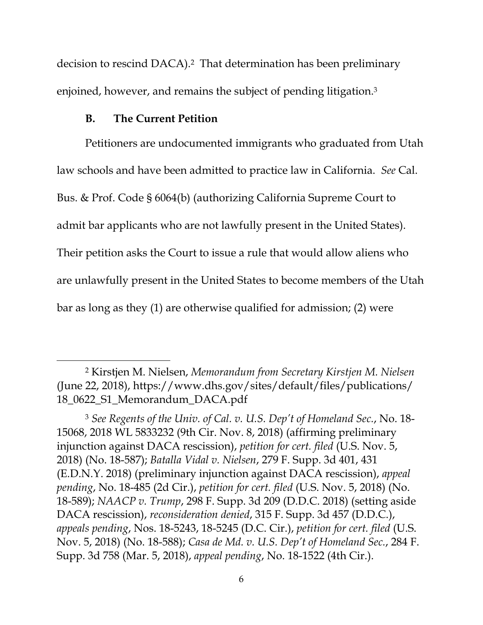decision to rescind DACA).2 That determination has been preliminary enjoined, however, and remains the subject of pending litigation.3

#### **B. The Current Petition**

 $\overline{a}$ 

Petitioners are undocumented immigrants who graduated from Utah law schools and have been admitted to practice law in California. *See* Cal. Bus. & Prof. Code § 6064(b) (authorizing California Supreme Court to admit bar applicants who are not lawfully present in the United States). Their petition asks the Court to issue a rule that would allow aliens who are unlawfully present in the United States to become members of the Utah bar as long as they (1) are otherwise qualified for admission; (2) were

<sup>2</sup> Kirstjen M. Nielsen, *Memorandum from Secretary Kirstjen M. Nielsen* (June 22, 2018), https://www.dhs.gov/sites/default/files/publications/ 18\_0622\_S1\_Memorandum\_DACA.pdf

<sup>3</sup> *See Regents of the Univ. of Cal. v. U.S. Dep't of Homeland Sec.*, No. 18- 15068, 2018 WL 5833232 (9th Cir. Nov. 8, 2018) (affirming preliminary injunction against DACA rescission), *petition for cert. filed* (U.S. Nov. 5, 2018) (No. 18-587); *Batalla Vidal v. Nielsen*, 279 F. Supp. 3d 401, 431 (E.D.N.Y. 2018) (preliminary injunction against DACA rescission), *appeal pending*, No. 18-485 (2d Cir.), *petition for cert. filed* (U.S. Nov. 5, 2018) (No. 18-589); *NAACP v. Trump*, 298 F. Supp. 3d 209 (D.D.C. 2018) (setting aside DACA rescission), *reconsideration denied*, 315 F. Supp. 3d 457 (D.D.C.), *appeals pending*, Nos. 18-5243, 18-5245 (D.C. Cir.), *petition for cert. filed* (U.S. Nov. 5, 2018) (No. 18-588); *Casa de Md. v. U.S. Dep't of Homeland Sec.*, 284 F. Supp. 3d 758 (Mar. 5, 2018), *appeal pending*, No. 18-1522 (4th Cir.).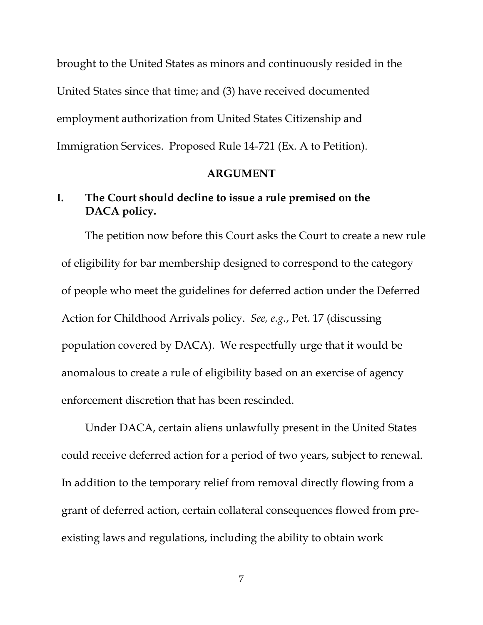brought to the United States as minors and continuously resided in the United States since that time; and (3) have received documented employment authorization from United States Citizenship and Immigration Services. Proposed Rule 14-721 (Ex. A to Petition).

#### **ARGUMENT**

## **I. The Court should decline to issue a rule premised on the DACA policy.**

The petition now before this Court asks the Court to create a new rule of eligibility for bar membership designed to correspond to the category of people who meet the guidelines for deferred action under the Deferred Action for Childhood Arrivals policy. *See, e.g.*, Pet. 17 (discussing population covered by DACA). We respectfully urge that it would be anomalous to create a rule of eligibility based on an exercise of agency enforcement discretion that has been rescinded.

Under DACA, certain aliens unlawfully present in the United States could receive deferred action for a period of two years, subject to renewal. In addition to the temporary relief from removal directly flowing from a grant of deferred action, certain collateral consequences flowed from preexisting laws and regulations, including the ability to obtain work

7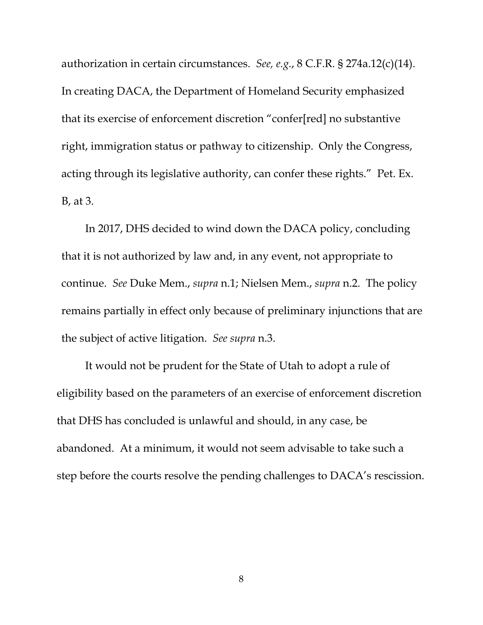authorization in certain circumstances. *See, e.g.*, 8 C.F.R. § 274a.12(c)(14). In creating DACA, the Department of Homeland Security emphasized that its exercise of enforcement discretion "confer[red] no substantive right, immigration status or pathway to citizenship. Only the Congress, acting through its legislative authority, can confer these rights." Pet. Ex. B, at 3.

In 2017, DHS decided to wind down the DACA policy, concluding that it is not authorized by law and, in any event, not appropriate to continue. *See* Duke Mem., *supra* n.1; Nielsen Mem., *supra* n.2. The policy remains partially in effect only because of preliminary injunctions that are the subject of active litigation. *See supra* n.3.

It would not be prudent for the State of Utah to adopt a rule of eligibility based on the parameters of an exercise of enforcement discretion that DHS has concluded is unlawful and should, in any case, be abandoned. At a minimum, it would not seem advisable to take such a step before the courts resolve the pending challenges to DACA's rescission.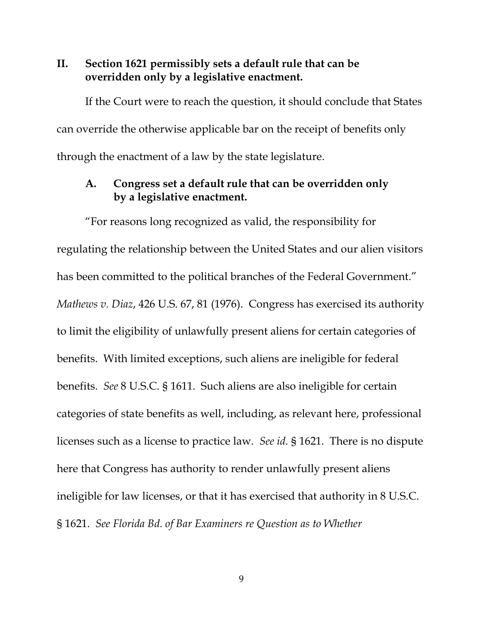### **II. Section 1621 permissibly sets a default rule that can be overridden only by a legislative enactment.**

If the Court were to reach the question, it should conclude that States can override the otherwise applicable bar on the receipt of benefits only through the enactment of a law by the state legislature.

### **A. Congress set a default rule that can be overridden only by a legislative enactment.**

"For reasons long recognized as valid, the responsibility for regulating the relationship between the United States and our alien visitors has been committed to the political branches of the Federal Government." *Mathews v. Diaz*, 426 U.S. 67, 81 (1976). Congress has exercised its authority to limit the eligibility of unlawfully present aliens for certain categories of benefits. With limited exceptions, such aliens are ineligible for federal benefits. *See* 8 U.S.C. § 1611. Such aliens are also ineligible for certain categories of state benefits as well, including, as relevant here, professional licenses such as a license to practice law. *See id.* § 1621. There is no dispute here that Congress has authority to render unlawfully present aliens ineligible for law licenses, or that it has exercised that authority in 8 U.S.C. § 1621. *See Florida Bd. of Bar Examiners re Question as to Whether*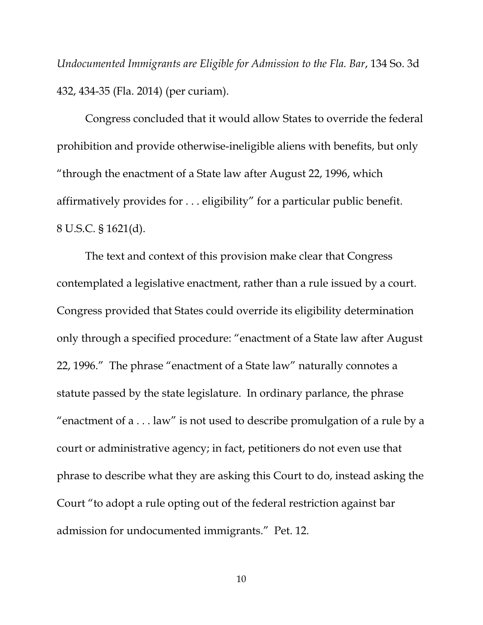*Undocumented Immigrants are Eligible for Admission to the Fla. Bar*, 134 So. 3d 432, 434-35 (Fla. 2014) (per curiam).

Congress concluded that it would allow States to override the federal prohibition and provide otherwise-ineligible aliens with benefits, but only "through the enactment of a State law after August 22, 1996, which affirmatively provides for . . . eligibility" for a particular public benefit. 8 U.S.C. § 1621(d).

The text and context of this provision make clear that Congress contemplated a legislative enactment, rather than a rule issued by a court. Congress provided that States could override its eligibility determination only through a specified procedure: "enactment of a State law after August 22, 1996." The phrase "enactment of a State law" naturally connotes a statute passed by the state legislature. In ordinary parlance, the phrase "enactment of a . . . law" is not used to describe promulgation of a rule by a court or administrative agency; in fact, petitioners do not even use that phrase to describe what they are asking this Court to do, instead asking the Court "to adopt a rule opting out of the federal restriction against bar admission for undocumented immigrants." Pet. 12.

10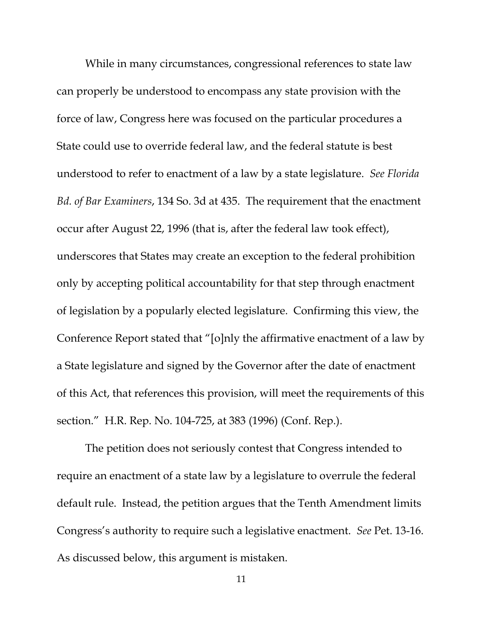While in many circumstances, congressional references to state law can properly be understood to encompass any state provision with the force of law, Congress here was focused on the particular procedures a State could use to override federal law, and the federal statute is best understood to refer to enactment of a law by a state legislature. *See Florida Bd. of Bar Examiners*, 134 So. 3d at 435. The requirement that the enactment occur after August 22, 1996 (that is, after the federal law took effect), underscores that States may create an exception to the federal prohibition only by accepting political accountability for that step through enactment of legislation by a popularly elected legislature. Confirming this view, the Conference Report stated that "[o]nly the affirmative enactment of a law by a State legislature and signed by the Governor after the date of enactment of this Act, that references this provision, will meet the requirements of this section." H.R. Rep. No. 104-725, at 383 (1996) (Conf. Rep.).

The petition does not seriously contest that Congress intended to require an enactment of a state law by a legislature to overrule the federal default rule. Instead, the petition argues that the Tenth Amendment limits Congress's authority to require such a legislative enactment. *See* Pet. 13-16. As discussed below, this argument is mistaken.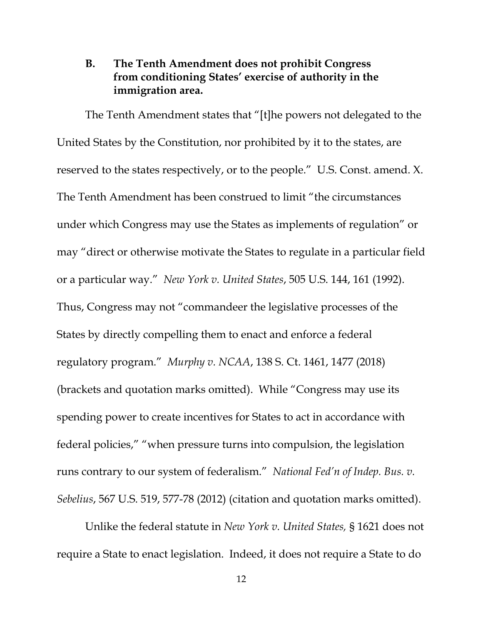### **B. The Tenth Amendment does not prohibit Congress from conditioning States' exercise of authority in the immigration area.**

The Tenth Amendment states that "[t]he powers not delegated to the United States by the Constitution, nor prohibited by it to the states, are reserved to the states respectively, or to the people." U.S. Const. amend. X. The Tenth Amendment has been construed to limit "the circumstances under which Congress may use the States as implements of regulation" or may "direct or otherwise motivate the States to regulate in a particular field or a particular way." *New York v. United States*, 505 U.S. 144, 161 (1992). Thus, Congress may not "commandeer the legislative processes of the States by directly compelling them to enact and enforce a federal regulatory program." *Murphy v. NCAA*, 138 S. Ct. 1461, 1477 (2018) (brackets and quotation marks omitted). While "Congress may use its spending power to create incentives for States to act in accordance with federal policies," "when pressure turns into compulsion, the legislation runs contrary to our system of federalism." *National Fed'n of Indep. Bus. v. Sebelius*, 567 U.S. 519, 577-78 (2012) (citation and quotation marks omitted).

Unlike the federal statute in *New York v. United States,* § 1621 does not require a State to enact legislation. Indeed, it does not require a State to do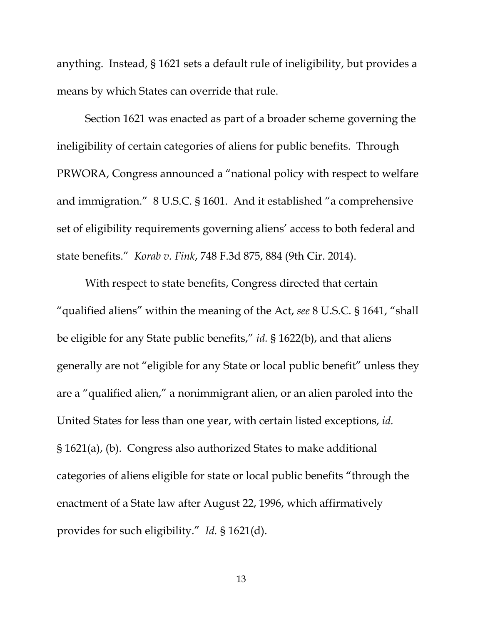anything. Instead, § 1621 sets a default rule of ineligibility, but provides a means by which States can override that rule.

Section 1621 was enacted as part of a broader scheme governing the ineligibility of certain categories of aliens for public benefits. Through PRWORA, Congress announced a "national policy with respect to welfare and immigration." 8 U.S.C. § 1601. And it established "a comprehensive set of eligibility requirements governing aliens' access to both federal and state benefits." *Korab v. Fink*, 748 F.3d 875, 884 (9th Cir. 2014).

With respect to state benefits, Congress directed that certain "qualified aliens" within the meaning of the Act, *see* 8 U.S.C. § 1641, "shall be eligible for any State public benefits," *id.* § 1622(b), and that aliens generally are not "eligible for any State or local public benefit" unless they are a "qualified alien," a nonimmigrant alien, or an alien paroled into the United States for less than one year, with certain listed exceptions, *id.* § 1621(a), (b). Congress also authorized States to make additional categories of aliens eligible for state or local public benefits "through the enactment of a State law after August 22, 1996, which affirmatively provides for such eligibility." *Id.* § 1621(d).

13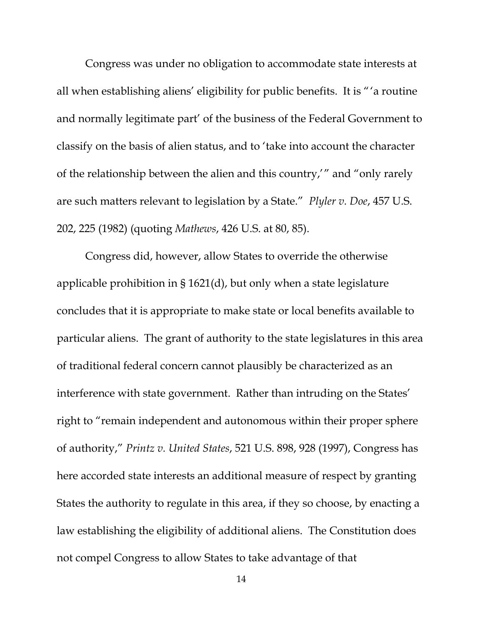Congress was under no obligation to accommodate state interests at all when establishing aliens' eligibility for public benefits. It is "'a routine and normally legitimate part' of the business of the Federal Government to classify on the basis of alien status, and to 'take into account the character of the relationship between the alien and this country,'" and "only rarely are such matters relevant to legislation by a State." *Plyler v. Doe*, 457 U.S. 202, 225 (1982) (quoting *Mathews*, 426 U.S. at 80, 85).

Congress did, however, allow States to override the otherwise applicable prohibition in § 1621(d), but only when a state legislature concludes that it is appropriate to make state or local benefits available to particular aliens. The grant of authority to the state legislatures in this area of traditional federal concern cannot plausibly be characterized as an interference with state government. Rather than intruding on the States' right to "remain independent and autonomous within their proper sphere of authority," *Printz v. United States*, 521 U.S. 898, 928 (1997), Congress has here accorded state interests an additional measure of respect by granting States the authority to regulate in this area, if they so choose, by enacting a law establishing the eligibility of additional aliens. The Constitution does not compel Congress to allow States to take advantage of that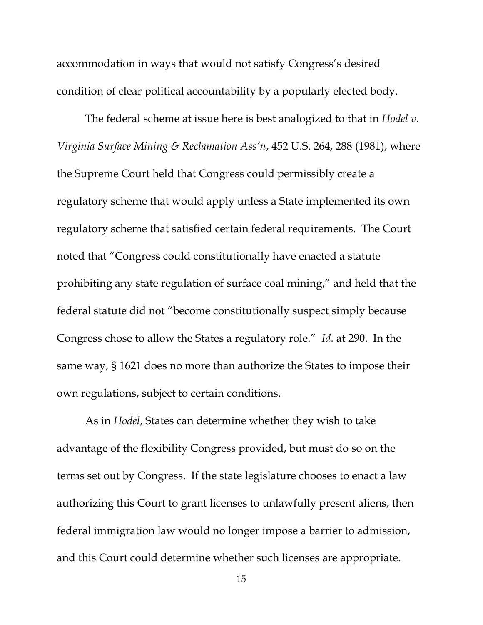accommodation in ways that would not satisfy Congress's desired condition of clear political accountability by a popularly elected body.

The federal scheme at issue here is best analogized to that in *Hodel v. Virginia Surface Mining & Reclamation Ass'n*, 452 U.S. 264, 288 (1981), where the Supreme Court held that Congress could permissibly create a regulatory scheme that would apply unless a State implemented its own regulatory scheme that satisfied certain federal requirements. The Court noted that "Congress could constitutionally have enacted a statute prohibiting any state regulation of surface coal mining," and held that the federal statute did not "become constitutionally suspect simply because Congress chose to allow the States a regulatory role." *Id.* at 290. In the same way, § 1621 does no more than authorize the States to impose their own regulations, subject to certain conditions.

As in *Hodel*, States can determine whether they wish to take advantage of the flexibility Congress provided, but must do so on the terms set out by Congress. If the state legislature chooses to enact a law authorizing this Court to grant licenses to unlawfully present aliens, then federal immigration law would no longer impose a barrier to admission, and this Court could determine whether such licenses are appropriate.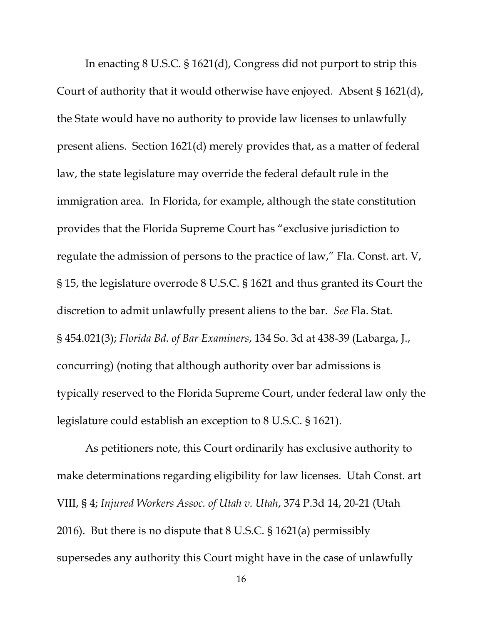In enacting 8 U.S.C. § 1621(d), Congress did not purport to strip this Court of authority that it would otherwise have enjoyed. Absent § 1621(d), the State would have no authority to provide law licenses to unlawfully present aliens. Section 1621(d) merely provides that, as a matter of federal law, the state legislature may override the federal default rule in the immigration area. In Florida, for example, although the state constitution provides that the Florida Supreme Court has "exclusive jurisdiction to regulate the admission of persons to the practice of law," Fla. Const. art. V, § 15, the legislature overrode 8 U.S.C. § 1621 and thus granted its Court the discretion to admit unlawfully present aliens to the bar. *See* Fla. Stat. § 454.021(3); *Florida Bd. of Bar Examiners*, 134 So. 3d at 438-39 (Labarga, J., concurring) (noting that although authority over bar admissions is typically reserved to the Florida Supreme Court, under federal law only the legislature could establish an exception to 8 U.S.C. § 1621).

As petitioners note, this Court ordinarily has exclusive authority to make determinations regarding eligibility for law licenses. Utah Const. art VIII, § 4; *Injured Workers Assoc. of Utah v. Utah*, 374 P.3d 14, 20-21 (Utah 2016). But there is no dispute that 8 U.S.C. § 1621(a) permissibly supersedes any authority this Court might have in the case of unlawfully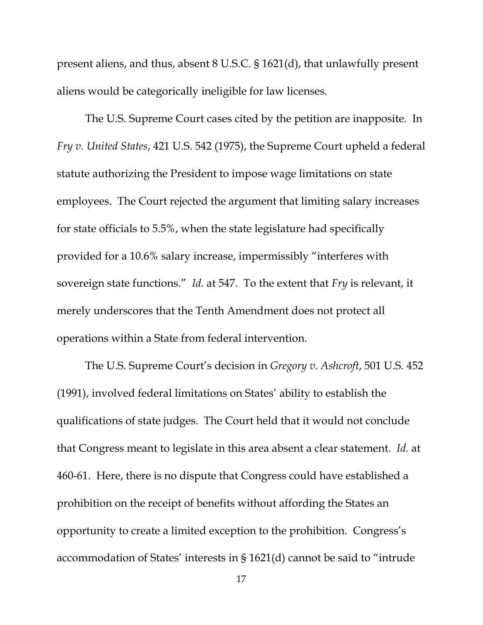present aliens, and thus, absent 8 U.S.C. § 1621(d), that unlawfully present aliens would be categorically ineligible for law licenses.

The U.S. Supreme Court cases cited by the petition are inapposite. In *Fry v. United States*, 421 U.S. 542 (1975), the Supreme Court upheld a federal statute authorizing the President to impose wage limitations on state employees. The Court rejected the argument that limiting salary increases for state officials to 5.5%, when the state legislature had specifically provided for a 10.6% salary increase, impermissibly "interferes with sovereign state functions." *Id.* at 547. To the extent that *Fry* is relevant, it merely underscores that the Tenth Amendment does not protect all operations within a State from federal intervention.

The U.S. Supreme Court's decision in *Gregory v. Ashcroft*, 501 U.S. 452 (1991), involved federal limitations on States' ability to establish the qualifications of state judges. The Court held that it would not conclude that Congress meant to legislate in this area absent a clear statement. *Id.* at 460-61. Here, there is no dispute that Congress could have established a prohibition on the receipt of benefits without affording the States an opportunity to create a limited exception to the prohibition. Congress's accommodation of States' interests in § 1621(d) cannot be said to "intrude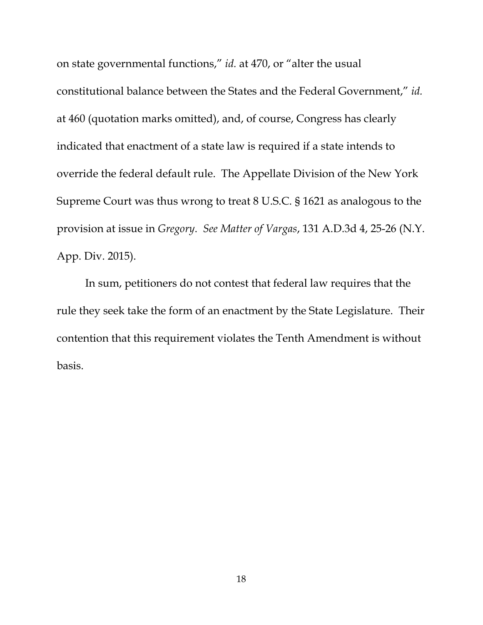on state governmental functions," *id.* at 470, or "alter the usual constitutional balance between the States and the Federal Government," *id.*  at 460 (quotation marks omitted), and, of course, Congress has clearly indicated that enactment of a state law is required if a state intends to override the federal default rule. The Appellate Division of the New York Supreme Court was thus wrong to treat 8 U.S.C. § 1621 as analogous to the provision at issue in *Gregory*. *See Matter of Vargas*, 131 A.D.3d 4, 25-26 (N.Y. App. Div. 2015).

In sum, petitioners do not contest that federal law requires that the rule they seek take the form of an enactment by the State Legislature. Their contention that this requirement violates the Tenth Amendment is without basis.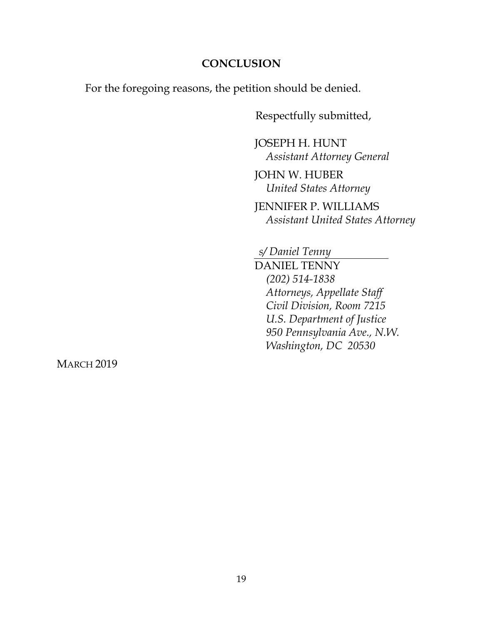### **CONCLUSION**

For the foregoing reasons, the petition should be denied.

Respectfully submitted,

JOSEPH H. HUNT *Assistant Attorney General*

JOHN W. HUBER *United States Attorney* 

JENNIFER P. WILLIAMS *Assistant United States Attorney* 

*s/ Daniel Tenny* 

DANIEL TENNY *(202) 514-1838 Attorneys, Appellate Staff Civil Division, Room 7215 U.S. Department of Justice 950 Pennsylvania Ave., N.W. Washington, DC 20530* 

**MARCH 2019**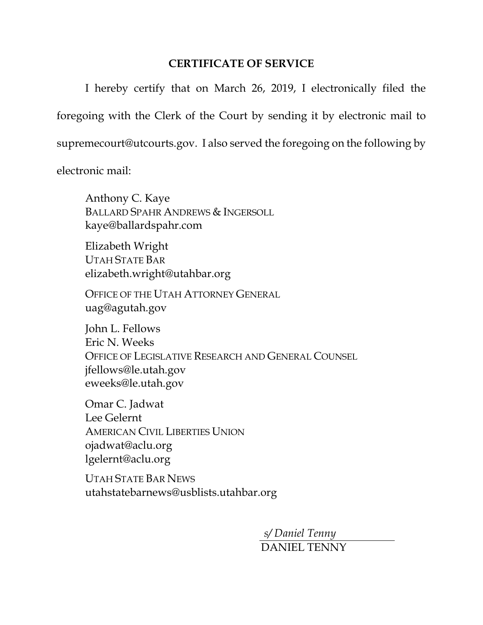### **CERTIFICATE OF SERVICE**

 I hereby certify that on March 26, 2019, I electronically filed the foregoing with the Clerk of the Court by sending it by electronic mail to supremecourt@utcourts.gov. I also served the foregoing on the following by

electronic mail:

 Anthony C. Kaye BALLARD SPAHR ANDREWS & INGERSOLL kaye@ballardspahr.com

 Elizabeth Wright UTAH STATE BAR elizabeth.wright@utahbar.org

 OFFICE OF THE UTAH ATTORNEY GENERAL uag@agutah.gov

 John L. Fellows Eric N. Weeks OFFICE OF LEGISLATIVE RESEARCH AND GENERAL COUNSEL jfellows@le.utah.gov eweeks@le.utah.gov

 Omar C. Jadwat Lee Gelernt AMERICAN CIVIL LIBERTIES UNION ojadwat@aclu.org lgelernt@aclu.org

UTAH STATE BAR NEWS utahstatebarnews@usblists.utahbar.org

> *s/ Daniel Tenny*  DANIEL TENNY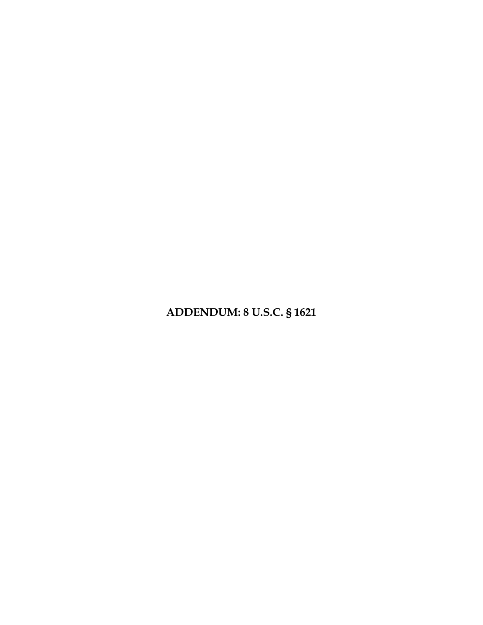# **ADDENDUM: 8 U.S.C. § 1621**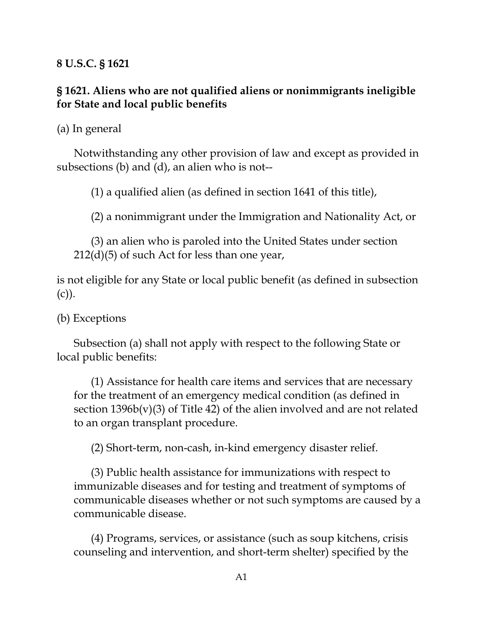**8 U.S.C. § 1621**

## **§ 1621. Aliens who are not qualified aliens or nonimmigrants ineligible for State and local public benefits**

(a) In general

 Notwithstanding any other provision of law and except as provided in subsections (b) and (d), an alien who is not--

(1) a qualified alien (as defined in section 1641 of this title),

(2) a nonimmigrant under the Immigration and Nationality Act, or

 (3) an alien who is paroled into the United States under section 212(d)(5) of such Act for less than one year,

is not eligible for any State or local public benefit (as defined in subsection  $(c)$ ).

(b) Exceptions

 Subsection (a) shall not apply with respect to the following State or local public benefits:

 (1) Assistance for health care items and services that are necessary for the treatment of an emergency medical condition (as defined in section  $1396b(v)(3)$  of Title 42) of the alien involved and are not related to an organ transplant procedure.

(2) Short-term, non-cash, in-kind emergency disaster relief.

 (3) Public health assistance for immunizations with respect to immunizable diseases and for testing and treatment of symptoms of communicable diseases whether or not such symptoms are caused by a communicable disease.

 (4) Programs, services, or assistance (such as soup kitchens, crisis counseling and intervention, and short-term shelter) specified by the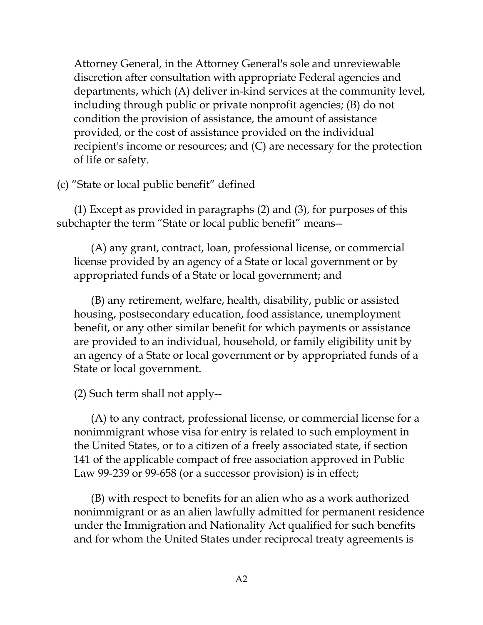Attorney General, in the Attorney General's sole and unreviewable discretion after consultation with appropriate Federal agencies and departments, which (A) deliver in-kind services at the community level, including through public or private nonprofit agencies; (B) do not condition the provision of assistance, the amount of assistance provided, or the cost of assistance provided on the individual recipient's income or resources; and (C) are necessary for the protection of life or safety.

(c) "State or local public benefit" defined

 (1) Except as provided in paragraphs (2) and (3), for purposes of this subchapter the term "State or local public benefit" means--

 (A) any grant, contract, loan, professional license, or commercial license provided by an agency of a State or local government or by appropriated funds of a State or local government; and

 (B) any retirement, welfare, health, disability, public or assisted housing, postsecondary education, food assistance, unemployment benefit, or any other similar benefit for which payments or assistance are provided to an individual, household, or family eligibility unit by an agency of a State or local government or by appropriated funds of a State or local government.

(2) Such term shall not apply--

 (A) to any contract, professional license, or commercial license for a nonimmigrant whose visa for entry is related to such employment in the United States, or to a citizen of a freely associated state, if section 141 of the applicable compact of free association approved in Public Law 99-239 or 99-658 (or a successor provision) is in effect;

 (B) with respect to benefits for an alien who as a work authorized nonimmigrant or as an alien lawfully admitted for permanent residence under the Immigration and Nationality Act qualified for such benefits and for whom the United States under reciprocal treaty agreements is